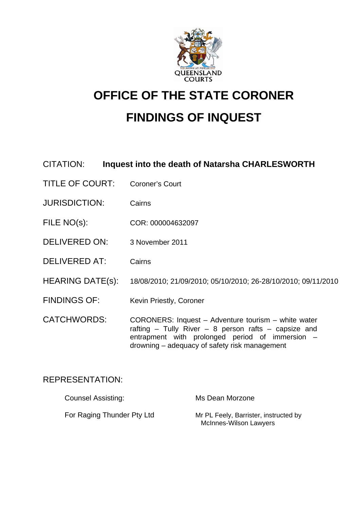

# **OFFICE OF THE STATE CORONER FINDINGS OF INQUEST**

# CITATION: **Inquest into the death of Natarsha CHARLESWORTH**

- TITLE OF COURT: Coroner's Court
- JURISDICTION: Cairns
- FILE NO(s): COR: 000004632097
- DELIVERED ON: 3 November 2011
- DELIVERED AT: Cairns
- HEARING DATE(s): 18/08/2010; 21/09/2010; 05/10/2010; 26-28/10/2010; 09/11/2010
- FINDINGS OF: Kevin Priestly, Coroner
- CATCHWORDS: CORONERS: Inquest Adventure tourism white water rafting – Tully River – 8 person rafts – capsize and entrapment with prolonged period of immersion – drowning – adequacy of safety risk management

## REPRESENTATION:

| <b>Counsel Assisting:</b>  | Ms Dean Morzone                                                 |
|----------------------------|-----------------------------------------------------------------|
| For Raging Thunder Pty Ltd | Mr PL Feely, Barrister, instructed by<br>McInnes-Wilson Lawyers |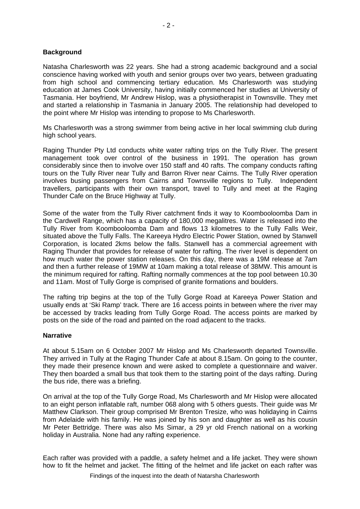#### **Background**

Natasha Charlesworth was 22 years. She had a strong academic background and a social conscience having worked with youth and senior groups over two years, between graduating from high school and commencing tertiary education. Ms Charlesworth was studying education at James Cook University, having initially commenced her studies at University of Tasmania. Her boyfriend, Mr Andrew Hislop, was a physiotherapist in Townsville. They met and started a relationship in Tasmania in January 2005. The relationship had developed to the point where Mr Hislop was intending to propose to Ms Charlesworth.

Ms Charlesworth was a strong swimmer from being active in her local swimming club during high school years.

Raging Thunder Pty Ltd conducts white water rafting trips on the Tully River. The present management took over control of the business in 1991. The operation has grown considerably since then to involve over 150 staff and 40 rafts. The company conducts rafting tours on the Tully River near Tully and Barron River near Cairns. The Tully River operation involves busing passengers from Cairns and Townsville regions to Tully. Independent travellers, participants with their own transport, travel to Tully and meet at the Raging Thunder Cafe on the Bruce Highway at Tully.

Some of the water from the Tully River catchment finds it way to Koombooloomba Dam in the Cardwell Range, which has a capacity of 180,000 megalitres. Water is released into the Tully River from Koombooloomba Dam and flows 13 kilometres to the Tully Falls Weir, situated above the Tully Falls. The Kareeya Hydro Electric Power Station, owned by Stanwell Corporation, is located 2kms below the falls. Stanwell has a commercial agreement with Raging Thunder that provides for release of water for rafting. The river level is dependent on how much water the power station releases. On this day, there was a 19M release at 7am and then a further release of 19MW at 10am making a total release of 38MW. This amount is the minimum required for rafting. Rafting normally commences at the top pool between 10.30 and 11am. Most of Tully Gorge is comprised of granite formations and boulders.

The rafting trip begins at the top of the Tully Gorge Road at Kareeya Power Station and usually ends at 'Ski Ramp' track. There are 16 access points in between where the river may be accessed by tracks leading from Tully Gorge Road. The access points are marked by posts on the side of the road and painted on the road adjacent to the tracks.

#### **Narrative**

At about 5.15am on 6 October 2007 Mr Hislop and Ms Charlesworth departed Townsville. They arrived in Tully at the Raging Thunder Cafe at about 8.15am. On going to the counter, they made their presence known and were asked to complete a questionnaire and waiver. They then boarded a small bus that took them to the starting point of the days rafting. During the bus ride, there was a briefing.

On arrival at the top of the Tully Gorge Road, Ms Charlesworth and Mr Hislop were allocated to an eight person inflatable raft, number 068 along with 5 others guests. Their guide was Mr Matthew Clarkson. Their group comprised Mr Brenton Tresize, who was holidaying in Cairns from Adelaide with his family. He was joined by his son and daughter as well as his cousin Mr Peter Bettridge. There was also Ms Simar, a 29 yr old French national on a working holiday in Australia. None had any rafting experience.

Each rafter was provided with a paddle, a safety helmet and a life jacket. They were shown how to fit the helmet and jacket. The fitting of the helmet and life jacket on each rafter was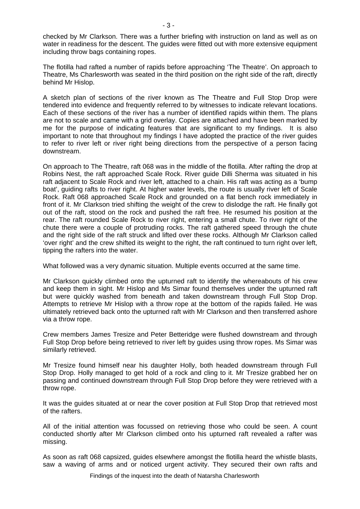checked by Mr Clarkson. There was a further briefing with instruction on land as well as on water in readiness for the descent. The guides were fitted out with more extensive equipment including throw bags containing ropes.

The flotilla had rafted a number of rapids before approaching 'The Theatre'. On approach to Theatre, Ms Charlesworth was seated in the third position on the right side of the raft, directly behind Mr Hislop.

A sketch plan of sections of the river known as The Theatre and Full Stop Drop were tendered into evidence and frequently referred to by witnesses to indicate relevant locations. Each of these sections of the river has a number of identified rapids within them. The plans are not to scale and came with a grid overlay. Copies are attached and have been marked by me for the purpose of indicating features that are significant to my findings. It is also important to note that throughout my findings I have adopted the practice of the river guides to refer to river left or river right being directions from the perspective of a person facing downstream.

On approach to The Theatre, raft 068 was in the middle of the flotilla. After rafting the drop at Robins Nest, the raft approached Scale Rock. River guide Dilli Sherma was situated in his raft adjacent to Scale Rock and river left, attached to a chain. His raft was acting as a 'bump boat', guiding rafts to river right. At higher water levels, the route is usually river left of Scale Rock. Raft 068 approached Scale Rock and grounded on a flat bench rock immediately in front of it. Mr Clarkson tried shifting the weight of the crew to dislodge the raft. He finally got out of the raft, stood on the rock and pushed the raft free. He resumed his position at the rear. The raft rounded Scale Rock to river right, entering a small chute. To river right of the chute there were a couple of protruding rocks. The raft gathered speed through the chute and the right side of the raft struck and lifted over these rocks. Although Mr Clarkson called 'over right' and the crew shifted its weight to the right, the raft continued to turn right over left, tipping the rafters into the water.

What followed was a very dynamic situation. Multiple events occurred at the same time.

Mr Clarkson quickly climbed onto the upturned raft to identify the whereabouts of his crew and keep them in sight. Mr Hislop and Ms Simar found themselves under the upturned raft but were quickly washed from beneath and taken downstream through Full Stop Drop. Attempts to retrieve Mr Hislop with a throw rope at the bottom of the rapids failed. He was ultimately retrieved back onto the upturned raft with Mr Clarkson and then transferred ashore via a throw rope.

Crew members James Tresize and Peter Betteridge were flushed downstream and through Full Stop Drop before being retrieved to river left by guides using throw ropes. Ms Simar was similarly retrieved.

Mr Tresize found himself near his daughter Holly, both headed downstream through Full Stop Drop. Holly managed to get hold of a rock and cling to it. Mr Tresize grabbed her on passing and continued downstream through Full Stop Drop before they were retrieved with a throw rope.

It was the guides situated at or near the cover position at Full Stop Drop that retrieved most of the rafters.

All of the initial attention was focussed on retrieving those who could be seen. A count conducted shortly after Mr Clarkson climbed onto his upturned raft revealed a rafter was missing.

As soon as raft 068 capsized, guides elsewhere amongst the flotilla heard the whistle blasts, saw a waving of arms and or noticed urgent activity. They secured their own rafts and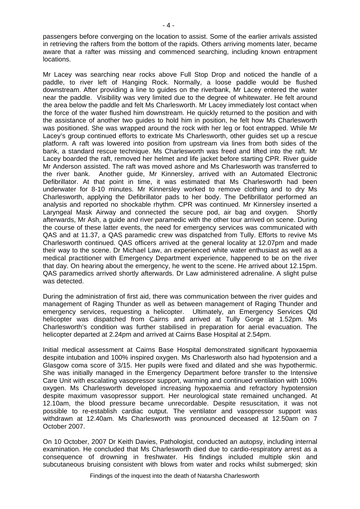passengers before converging on the location to assist. Some of the earlier arrivals assisted in retrieving the rafters from the bottom of the rapids. Others arriving moments later, became aware that a rafter was missing and commenced searching, including known entrapment locations.

Mr Lacey was searching near rocks above Full Stop Drop and noticed the handle of a paddle, to river left of Hanging Rock. Normally, a loose paddle would be flushed downstream. After providing a line to guides on the riverbank, Mr Lacey entered the water near the paddle. Visibility was very limited due to the degree of whitewater. He felt around the area below the paddle and felt Ms Charlesworth. Mr Lacey immediately lost contact when the force of the water flushed him downstream. He quickly returned to the position and with the assistance of another two guides to hold him in position, he felt how Ms Charlesworth was positioned. She was wrapped around the rock with her leg or foot entrapped. While Mr Lacey's group continued efforts to extricate Ms Charlesworth, other guides set up a rescue platform. A raft was lowered into position from upstream via lines from both sides of the bank, a standard rescue technique. Ms Charlesworth was freed and lifted into the raft. Mr Lacey boarded the raft, removed her helmet and life jacket before starting CPR. River guide Mr Anderson assisted. The raft was moved ashore and Ms Charlesworth was transferred to the river bank. Another guide, Mr Kinnersley, arrived with an Automated Electronic Defibrillator. At that point in time, it was estimated that Ms Charlesworth had been underwater for 8-10 minutes. Mr Kinnersley worked to remove clothing and to dry Ms Charlesworth, applying the Defibrillator pads to her body. The Defibrillator performed an analysis and reported no shockable rhythm. CPR was continued. Mr Kinnersley inserted a Laryngeal Mask Airway and connected the secure pod, air bag and oxygen. Shortly afterwards, Mr Ash, a guide and river paramedic with the other tour arrived on scene. During the course of these latter events, the need for emergency services was communicated with QAS and at 11.37, a QAS paramedic crew was dispatched from Tully. Efforts to revive Ms Charlesworth continued. QAS officers arrived at the general locality at 12.07pm and made their way to the scene. Dr Michael Law, an experienced white water enthusiast as well as a medical practitioner with Emergency Department experience, happened to be on the river that day. On hearing about the emergency, he went to the scene. He arrived about 12.15pm. QAS paramedics arrived shortly afterwards. Dr Law administered adrenaline. A slight pulse was detected.

During the administration of first aid, there was communication between the river guides and management of Raging Thunder as well as between management of Raging Thunder and emergency services, requesting a helicopter. Ultimately, an Emergency Services Qld helicopter was dispatched from Cairns and arrived at Tully Gorge at 1.52pm. Ms Charlesworth's condition was further stabilised in preparation for aerial evacuation. The helicopter departed at 2.24pm and arrived at Cairns Base Hospital at 2.54pm.

Initial medical assessment at Cairns Base Hospital demonstrated significant hypoxaemia despite intubation and 100% inspired oxygen. Ms Charlesworth also had hypotension and a Glasgow coma score of 3/15. Her pupils were fixed and dilated and she was hypothermic. She was initially managed in the Emergency Department before transfer to the Intensive Care Unit with escalating vasopressor support, warming and continued ventilation with 100% oxygen. Ms Charlesworth developed increasing hypoxaemia and refractory hypotension despite maximum vasopressor support. Her neurological state remained unchanged. At 12.10am, the blood pressure became unrecordable. Despite resuscitation, it was not possible to re-establish cardiac output. The ventilator and vasopressor support was withdrawn at 12.40am. Ms Charlesworth was pronounced deceased at 12.50am on 7 October 2007.

On 10 October, 2007 Dr Keith Davies, Pathologist, conducted an autopsy, including internal examination. He concluded that Ms Charlesworth died due to cardio-respiratory arrest as a consequence of drowning in freshwater. His findings included multiple skin and subcutaneous bruising consistent with blows from water and rocks whilst submerged; skin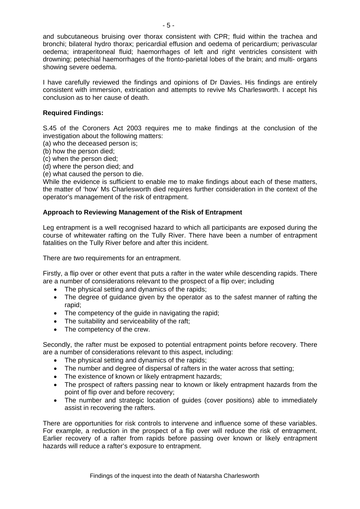and subcutaneous bruising over thorax consistent with CPR; fluid within the trachea and bronchi; bilateral hydro thorax; pericardial effusion and oedema of pericardium; perivascular oedema; intraperitoneal fluid; haemorrhages of left and right ventricles consistent with drowning; petechial haemorrhages of the fronto-parietal lobes of the brain; and multi- organs showing severe oedema.

I have carefully reviewed the findings and opinions of Dr Davies. His findings are entirely consistent with immersion, extrication and attempts to revive Ms Charlesworth. I accept his conclusion as to her cause of death.

## **Required Findings:**

S.45 of the Coroners Act 2003 requires me to make findings at the conclusion of the investigation about the following matters:

- (a) who the deceased person is;
- (b) how the person died;
- (c) when the person died;
- (d) where the person died; and
- (e) what caused the person to die.

While the evidence is sufficient to enable me to make findings about each of these matters, the matter of 'how' Ms Charlesworth died requires further consideration in the context of the operator's management of the risk of entrapment.

## **Approach to Reviewing Management of the Risk of Entrapment**

Leg entrapment is a well recognised hazard to which all participants are exposed during the course of whitewater rafting on the Tully River. There have been a number of entrapment fatalities on the Tully River before and after this incident.

There are two requirements for an entrapment.

Firstly, a flip over or other event that puts a rafter in the water while descending rapids. There are a number of considerations relevant to the prospect of a flip over; including

- The physical setting and dynamics of the rapids;
- The degree of guidance given by the operator as to the safest manner of rafting the rapid;
- The competency of the guide in navigating the rapid;
- The suitability and serviceability of the raft;
- The competency of the crew.

Secondly, the rafter must be exposed to potential entrapment points before recovery. There are a number of considerations relevant to this aspect, including:

- The physical setting and dynamics of the rapids;
- The number and degree of dispersal of rafters in the water across that setting;
- The existence of known or likely entrapment hazards;
- The prospect of rafters passing near to known or likely entrapment hazards from the point of flip over and before recovery;
- The number and strategic location of guides (cover positions) able to immediately assist in recovering the rafters.

There are opportunities for risk controls to intervene and influence some of these variables. For example, a reduction in the prospect of a flip over will reduce the risk of entrapment. Earlier recovery of a rafter from rapids before passing over known or likely entrapment hazards will reduce a rafter's exposure to entrapment.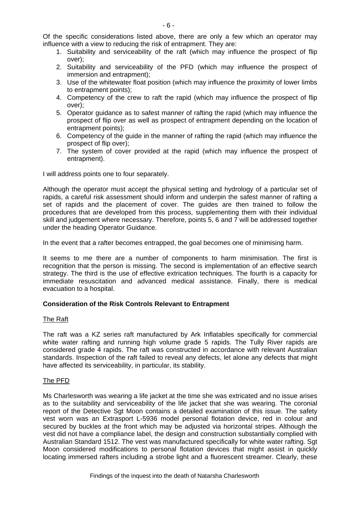- 1. Suitability and serviceability of the raft (which may influence the prospect of flip over);
- 2. Suitability and serviceability of the PFD (which may influence the prospect of immersion and entrapment);
- 3. Use of the whitewater float position (which may influence the proximity of lower limbs to entrapment points);
- 4. Competency of the crew to raft the rapid (which may influence the prospect of flip over);
- 5. Operator guidance as to safest manner of rafting the rapid (which may influence the prospect of flip over as well as prospect of entrapment depending on the location of entrapment points);
- 6. Competency of the guide in the manner of rafting the rapid (which may influence the prospect of flip over);
- 7. The system of cover provided at the rapid (which may influence the prospect of entrapment).

I will address points one to four separately.

Although the operator must accept the physical setting and hydrology of a particular set of rapids, a careful risk assessment should inform and underpin the safest manner of rafting a set of rapids and the placement of cover. The guides are then trained to follow the procedures that are developed from this process, supplementing them with their individual skill and judgement where necessary. Therefore, points 5, 6 and 7 will be addressed together under the heading Operator Guidance.

In the event that a rafter becomes entrapped, the goal becomes one of minimising harm.

It seems to me there are a number of components to harm minimisation. The first is recognition that the person is missing. The second is implementation of an effective search strategy. The third is the use of effective extrication techniques. The fourth is a capacity for immediate resuscitation and advanced medical assistance. Finally, there is medical evacuation to a hospital.

## **Consideration of the Risk Controls Relevant to Entrapment**

#### The Raft

The raft was a KZ series raft manufactured by Ark Inflatables specifically for commercial white water rafting and running high volume grade 5 rapids. The Tully River rapids are considered grade 4 rapids. The raft was constructed in accordance with relevant Australian standards. Inspection of the raft failed to reveal any defects, let alone any defects that might have affected its serviceability, in particular, its stability.

## The PFD

Ms Charlesworth was wearing a life jacket at the time she was extricated and no issue arises as to the suitability and serviceability of the life jacket that she was wearing. The coronial report of the Detective Sgt Moon contains a detailed examination of this issue. The safety vest worn was an Extrasport L-5936 model personal flotation device, red in colour and secured by buckles at the front which may be adjusted via horizontal stripes. Although the vest did not have a compliance label, the design and construction substantially complied with Australian Standard 1512. The vest was manufactured specifically for white water rafting. Sgt Moon considered modifications to personal flotation devices that might assist in quickly locating immersed rafters including a strobe light and a fluorescent streamer. Clearly, these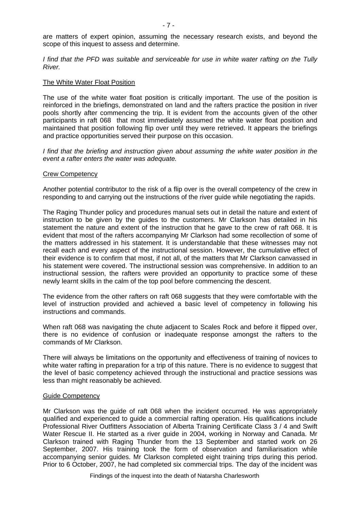are matters of expert opinion, assuming the necessary research exists, and beyond the scope of this inquest to assess and determine.

*I find that the PFD was suitable and serviceable for use in white water rafting on the Tully River.* 

#### The White Water Float Position

The use of the white water float position is critically important. The use of the position is reinforced in the briefings, demonstrated on land and the rafters practice the position in river pools shortly after commencing the trip. It is evident from the accounts given of the other participants in raft 068 that most immediately assumed the white water float position and maintained that position following flip over until they were retrieved. It appears the briefings and practice opportunities served their purpose on this occasion.

*I find that the briefing and instruction given about assuming the white water position in the event a rafter enters the water was adequate.* 

#### Crew Competency

Another potential contributor to the risk of a flip over is the overall competency of the crew in responding to and carrying out the instructions of the river guide while negotiating the rapids.

The Raging Thunder policy and procedures manual sets out in detail the nature and extent of instruction to be given by the guides to the customers. Mr Clarkson has detailed in his statement the nature and extent of the instruction that he gave to the crew of raft 068. It is evident that most of the rafters accompanying Mr Clarkson had some recollection of some of the matters addressed in his statement. It is understandable that these witnesses may not recall each and every aspect of the instructional session. However, the cumulative effect of their evidence is to confirm that most, if not all, of the matters that Mr Clarkson canvassed in his statement were covered. The instructional session was comprehensive. In addition to an instructional session, the rafters were provided an opportunity to practice some of these newly learnt skills in the calm of the top pool before commencing the descent.

The evidence from the other rafters on raft 068 suggests that they were comfortable with the level of instruction provided and achieved a basic level of competency in following his instructions and commands.

When raft 068 was navigating the chute adjacent to Scales Rock and before it flipped over, there is no evidence of confusion or inadequate response amongst the rafters to the commands of Mr Clarkson.

There will always be limitations on the opportunity and effectiveness of training of novices to white water rafting in preparation for a trip of this nature. There is no evidence to suggest that the level of basic competency achieved through the instructional and practice sessions was less than might reasonably be achieved.

#### Guide Competency

Mr Clarkson was the guide of raft 068 when the incident occurred. He was appropriately qualified and experienced to guide a commercial rafting operation. His qualifications include Professional River Outfitters Association of Alberta Training Certificate Class 3 / 4 and Swift Water Rescue II. He started as a river guide in 2004, working in Norway and Canada. Mr Clarkson trained with Raging Thunder from the 13 September and started work on 26 September, 2007. His training took the form of observation and familiarisation while accompanying senior guides. Mr Clarkson completed eight training trips during this period. Prior to 6 October, 2007, he had completed six commercial trips. The day of the incident was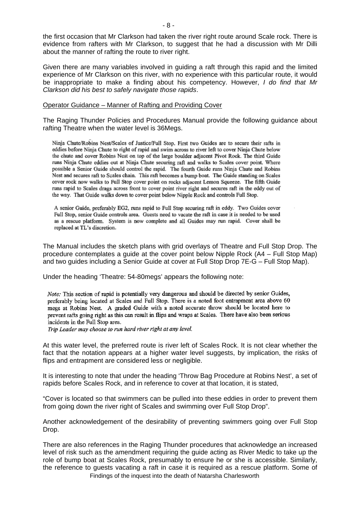the first occasion that Mr Clarkson had taken the river right route around Scale rock. There is evidence from rafters with Mr Clarkson, to suggest that he had a discussion with Mr Dilli about the manner of rafting the route to river right.

Given there are many variables involved in guiding a raft through this rapid and the limited experience of Mr Clarkson on this river, with no experience with this particular route, it would be inappropriate to make a finding about his competency. However, *I do find that Mr Clarkson did his best to safely navigate those rapids*.

#### Operator Guidance – Manner of Rafting and Providing Cover

The Raging Thunder Policies and Procedures Manual provide the following guidance about rafting Theatre when the water level is 36Megs.

Ninja Chute/Robins Nest/Scales of Justice/Full Stop. First two Guides are to secure their rafts in eddies before Ninja Chute to right of rapid and swim across to river left to cover Ninja Chute below the chute and cover Robins Nest on top of the large boulder adjacent Pivot Rock. The third Guide runs Ninja Chute eddies out at Ninja Chute securing raft and walks to Scales cover point. Where possible a Senior Guide should control the rapid. The fourth Guide runs Ninja Chute and Robins Nest and secures raft to Scales chain. This raft becomes a bump boat. The Guide standing on Scales cover rock now walks to Full Stop cover point on rocks adjacent Lemon Squeeze. The fifth Guide runs rapid to Scales drags across front to cover point river right and secures raft in the eddy out of the way. That Guide walks down to cover point below Nipple Rock and controls Full Stop.

A senior Guide, preferably EG2, runs rapid to Full Stop securing raft in eddy. Two Guides cover Full Stop, senior Guide controls area. Guests need to vacate the raft in case it is needed to be used as a rescue platform. System is now complete and all Guides may run rapid. Cover shall be replaced at TL's discretion.

The Manual includes the sketch plans with grid overlays of Theatre and Full Stop Drop. The procedure contemplates a guide at the cover point below Nipple Rock (A4 – Full Stop Map) and two guides including a Senior Guide at cover at Full Stop Drop 7E-G – Full Stop Map).

Under the heading 'Theatre: 54-80megs' appears the following note:

Note: This section of rapid is potentially very dangerous and should be directed by senior Guides, preferably being located at Scales and Full Stop. There is a noted foot entrapment area above 60 megs at Robins Nest. A graded Guide with a noted accurate throw should be located here to prevent rafts going right as this can result in flips and wraps at Scales. There have also been serious incidents in the Full Stop area.

Trip Leader may choose to run hard river right at any level.

At this water level, the preferred route is river left of Scales Rock. It is not clear whether the fact that the notation appears at a higher water level suggests, by implication, the risks of flips and entrapment are considered less or negligible.

It is interesting to note that under the heading 'Throw Bag Procedure at Robins Nest', a set of rapids before Scales Rock, and in reference to cover at that location, it is stated,

"Cover is located so that swimmers can be pulled into these eddies in order to prevent them from going down the river right of Scales and swimming over Full Stop Drop".

Another acknowledgement of the desirability of preventing swimmers going over Full Stop Drop.

Findings of the inquest into the death of Natarsha Charlesworth There are also references in the Raging Thunder procedures that acknowledge an increased level of risk such as the amendment requiring the guide acting as River Medic to take up the role of bump boat at Scales Rock, presumably to ensure he or she is accessible. Similarly, the reference to guests vacating a raft in case it is required as a rescue platform. Some of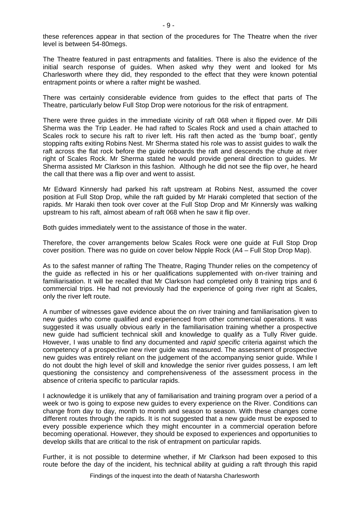these references appear in that section of the procedures for The Theatre when the river level is between 54-80megs.

The Theatre featured in past entrapments and fatalities. There is also the evidence of the initial search response of guides. When asked why they went and looked for Ms Charlesworth where they did, they responded to the effect that they were known potential entrapment points or where a rafter might be washed.

There was certainly considerable evidence from guides to the effect that parts of The Theatre, particularly below Full Stop Drop were notorious for the risk of entrapment.

There were three guides in the immediate vicinity of raft 068 when it flipped over. Mr Dilli Sherma was the Trip Leader. He had rafted to Scales Rock and used a chain attached to Scales rock to secure his raft to river left. His raft then acted as the 'bump boat', gently stopping rafts exiting Robins Nest. Mr Sherma stated his role was to assist guides to walk the raft across the flat rock before the guide reboards the raft and descends the chute at river right of Scales Rock. Mr Sherma stated he would provide general direction to guides. Mr Sherma assisted Mr Clarkson in this fashion. Although he did not see the flip over, he heard the call that there was a flip over and went to assist.

Mr Edward Kinnersly had parked his raft upstream at Robins Nest, assumed the cover position at Full Stop Drop, while the raft guided by Mr Haraki completed that section of the rapids. Mr Haraki then took over cover at the Full Stop Drop and Mr Kinnersly was walking upstream to his raft, almost abeam of raft 068 when he saw it flip over.

Both guides immediately went to the assistance of those in the water.

Therefore, the cover arrangements below Scales Rock were one guide at Full Stop Drop cover position. There was no guide on cover below Nipple Rock (A4 – Full Stop Drop Map).

As to the safest manner of rafting The Theatre, Raging Thunder relies on the competency of the guide as reflected in his or her qualifications supplemented with on-river training and familiarisation. It will be recalled that Mr Clarkson had completed only 8 training trips and 6 commercial trips. He had not previously had the experience of going river right at Scales, only the river left route.

A number of witnesses gave evidence about the on river training and familiarisation given to new guides who come qualified and experienced from other commercial operations. It was suggested it was usually obvious early in the familiarisation training whether a prospective new guide had sufficient technical skill and knowledge to qualify as a Tully River guide. However, I was unable to find any documented and *rapid specific* criteria against which the competency of a prospective new river guide was measured. The assessment of prospective new guides was entirely reliant on the judgement of the accompanying senior guide. While I do not doubt the high level of skill and knowledge the senior river guides possess, I am left questioning the consistency and comprehensiveness of the assessment process in the absence of criteria specific to particular rapids.

I acknowledge it is unlikely that any of familiarisation and training program over a period of a week or two is going to expose new guides to every experience on the River. Conditions can change from day to day, month to month and season to season. With these changes come different routes through the rapids. It is not suggested that a new guide must be exposed to every possible experience which they might encounter in a commercial operation before becoming operational. However, they should be exposed to experiences and opportunities to develop skills that are critical to the risk of entrapment on particular rapids.

Further, it is not possible to determine whether, if Mr Clarkson had been exposed to this route before the day of the incident, his technical ability at guiding a raft through this rapid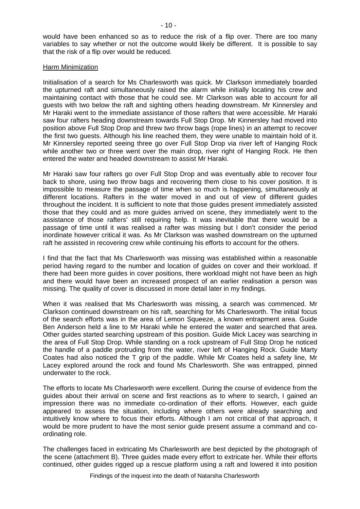would have been enhanced so as to reduce the risk of a flip over. There are too many variables to say whether or not the outcome would likely be different. It is possible to say that the risk of a flip over would be reduced.

#### Harm Minimization

Initialisation of a search for Ms Charlesworth was quick. Mr Clarkson immediately boarded the upturned raft and simultaneously raised the alarm while initially locating his crew and maintaining contact with those that he could see. Mr Clarkson was able to account for all guests with two below the raft and sighting others heading downstream. Mr Kinnersley and Mr Haraki went to the immediate assistance of those rafters that were accessible. Mr Haraki saw four rafters heading downstream towards Full Stop Drop. Mr Kinnersley had moved into position above Full Stop Drop and threw two throw bags (rope lines) in an attempt to recover the first two guests. Although his line reached them, they were unable to maintain hold of it. Mr Kinnersley reported seeing three go over Full Stop Drop via river left of Hanging Rock while another two or three went over the main drop, river right of Hanging Rock. He then entered the water and headed downstream to assist Mr Haraki.

Mr Haraki saw four rafters go over Full Stop Drop and was eventually able to recover four back to shore, using two throw bags and recovering them close to his cover position. It is impossible to measure the passage of time when so much is happening, simultaneously at different locations. Rafters in the water moved in and out of view of different guides throughout the incident. It is sufficient to note that those guides present immediately assisted those that they could and as more guides arrived on scene, they immediately went to the assistance of those rafters' still requiring help. It was inevitable that there would be a passage of time until it was realised a rafter was missing but I don't consider the period inordinate however critical it was. As Mr Clarkson was washed downstream on the upturned raft he assisted in recovering crew while continuing his efforts to account for the others.

I find that the fact that Ms Charlesworth was missing was established within a reasonable period having regard to the number and location of guides on cover and their workload. If there had been more guides in cover positions, there workload might not have been as high and there would have been an increased prospect of an earlier realisation a person was missing. The quality of cover is discussed in more detail later in my findings.

When it was realised that Ms Charlesworth was missing, a search was commenced. Mr Clarkson continued downstream on his raft, searching for Ms Charlesworth. The initial focus of the search efforts was in the area of Lemon Squeeze, a known entrapment area. Guide Ben Anderson held a line to Mr Haraki while he entered the water and searched that area. Other guides started searching upstream of this position. Guide Mick Lacey was searching in the area of Full Stop Drop. While standing on a rock upstream of Full Stop Drop he noticed the handle of a paddle protruding from the water, river left of Hanging Rock. Guide Marty Coates had also noticed the T grip of the paddle. While Mr Coates held a safety line, Mr Lacey explored around the rock and found Ms Charlesworth. She was entrapped, pinned underwater to the rock.

The efforts to locate Ms Charlesworth were excellent. During the course of evidence from the guides about their arrival on scene and first reactions as to where to search, I gained an impression there was no immediate co-ordination of their efforts. However, each guide appeared to assess the situation, including where others were already searching and intuitively know where to focus their efforts. Although I am not critical of that approach, it would be more prudent to have the most senior guide present assume a command and coordinating role.

The challenges faced in extricating Ms Charlesworth are best depicted by the photograph of the scene (attachment B). Three guides made every effort to extricate her. While their efforts continued, other guides rigged up a rescue platform using a raft and lowered it into position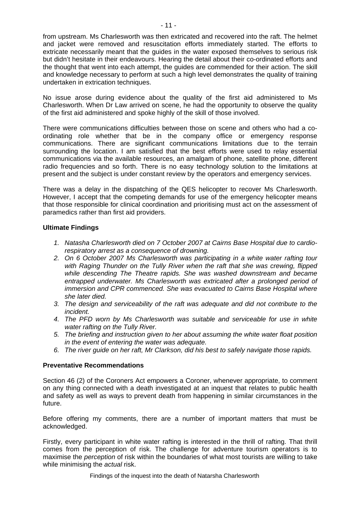from upstream. Ms Charlesworth was then extricated and recovered into the raft. The helmet and jacket were removed and resuscitation efforts immediately started. The efforts to extricate necessarily meant that the guides in the water exposed themselves to serious risk but didn't hesitate in their endeavours. Hearing the detail about their co-ordinated efforts and the thought that went into each attempt, the guides are commended for their action. The skill and knowledge necessary to perform at such a high level demonstrates the quality of training undertaken in extrication techniques.

No issue arose during evidence about the quality of the first aid administered to Ms Charlesworth. When Dr Law arrived on scene, he had the opportunity to observe the quality of the first aid administered and spoke highly of the skill of those involved.

There were communications difficulties between those on scene and others who had a coordinating role whether that be in the company office or emergency response communications. There are significant communications limitations due to the terrain surrounding the location. I am satisfied that the best efforts were used to relay essential communications via the available resources, an amalgam of phone, satellite phone, different radio frequencies and so forth. There is no easy technology solution to the limitations at present and the subject is under constant review by the operators and emergency services.

There was a delay in the dispatching of the QES helicopter to recover Ms Charlesworth. However, I accept that the competing demands for use of the emergency helicopter means that those responsible for clinical coordination and prioritising must act on the assessment of paramedics rather than first aid providers.

## **Ultimate Findings**

- *1. Natasha Charlesworth died on 7 October 2007 at Cairns Base Hospital due to cardiorespiratory arrest as a consequence of drowning.*
- *2. On 6 October 2007 Ms Charlesworth was participating in a white water rafting tour with Raging Thunder on the Tully River when the raft that she was crewing, flipped while descending The Theatre rapids. She was washed downstream and became entrapped underwater. Ms Charlesworth was extricated after a prolonged period of immersion and CPR commenced. She was evacuated to Cairns Base Hospital where she later died.*
- *3. The design and serviceability of the raft was adequate and did not contribute to the incident.*
- *4. The PFD worn by Ms Charlesworth was suitable and serviceable for use in white water rafting on the Tully River.*
- *5. The briefing and instruction given to her about assuming the white water float position in the event of entering the water was adequate.*
- *6. The river guide on her raft, Mr Clarkson, did his best to safely navigate those rapids.*

## **Preventative Recommendations**

Section 46 (2) of the Coroners Act empowers a Coroner, whenever appropriate, to comment on any thing connected with a death investigated at an inquest that relates to public health and safety as well as ways to prevent death from happening in similar circumstances in the future.

Before offering my comments, there are a number of important matters that must be acknowledged.

Firstly, every participant in white water rafting is interested in the thrill of rafting. That thrill comes from the perception of risk. The challenge for adventure tourism operators is to maximise the *perception* of risk within the boundaries of what most tourists are willing to take while minimising the *actual* risk.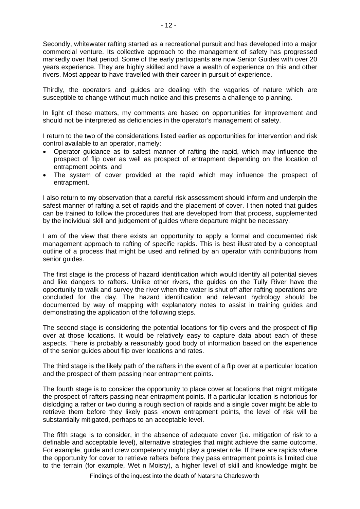Secondly, whitewater rafting started as a recreational pursuit and has developed into a major commercial venture. Its collective approach to the management of safety has progressed markedly over that period. Some of the early participants are now Senior Guides with over 20 years experience. They are highly skilled and have a wealth of experience on this and other rivers. Most appear to have travelled with their career in pursuit of experience.

Thirdly, the operators and guides are dealing with the vagaries of nature which are susceptible to change without much notice and this presents a challenge to planning.

In light of these matters, my comments are based on opportunities for improvement and should not be interpreted as deficiencies in the operator's management of safety.

I return to the two of the considerations listed earlier as opportunities for intervention and risk control available to an operator, namely:

- Operator guidance as to safest manner of rafting the rapid, which may influence the prospect of flip over as well as prospect of entrapment depending on the location of entrapment points; and
- The system of cover provided at the rapid which may influence the prospect of entrapment.

I also return to my observation that a careful risk assessment should inform and underpin the safest manner of rafting a set of rapids and the placement of cover. I then noted that guides can be trained to follow the procedures that are developed from that process, supplemented by the individual skill and judgement of guides where departure might be necessary.

I am of the view that there exists an opportunity to apply a formal and documented risk management approach to rafting of specific rapids. This is best illustrated by a conceptual outline of a process that might be used and refined by an operator with contributions from senior guides.

The first stage is the process of hazard identification which would identify all potential sieves and like dangers to rafters. Unlike other rivers, the guides on the Tully River have the opportunity to walk and survey the river when the water is shut off after rafting operations are concluded for the day. The hazard identification and relevant hydrology should be documented by way of mapping with explanatory notes to assist in training guides and demonstrating the application of the following steps.

The second stage is considering the potential locations for flip overs and the prospect of flip over at those locations. It would be relatively easy to capture data about each of these aspects. There is probably a reasonably good body of information based on the experience of the senior guides about flip over locations and rates.

The third stage is the likely path of the rafters in the event of a flip over at a particular location and the prospect of them passing near entrapment points.

The fourth stage is to consider the opportunity to place cover at locations that might mitigate the prospect of rafters passing near entrapment points. If a particular location is notorious for dislodging a rafter or two during a rough section of rapids and a single cover might be able to retrieve them before they likely pass known entrapment points, the level of risk will be substantially mitigated, perhaps to an acceptable level.

The fifth stage is to consider, in the absence of adequate cover (i.e. mitigation of risk to a definable and acceptable level), alternative strategies that might achieve the same outcome. For example, guide and crew competency might play a greater role. If there are rapids where the opportunity for cover to retrieve rafters before they pass entrapment points is limited due to the terrain (for example, Wet n Moisty), a higher level of skill and knowledge might be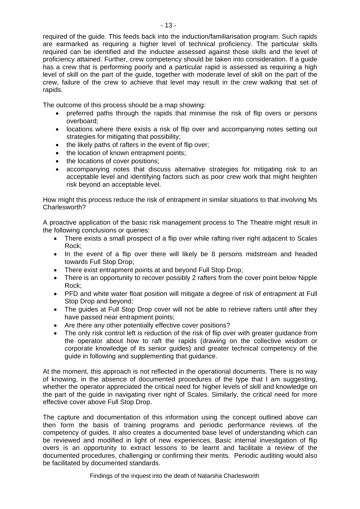required of the guide. This feeds back into the induction/familiarisation program. Such rapids are earmarked as requiring a higher level of technical proficiency. The particular skills required can be identified and the inductee assessed against those skills and the level of proficiency attained. Further, crew competency should be taken into consideration. If a guide has a crew that is performing poorly and a particular rapid is assessed as requiring a high level of skill on the part of the guide, together with moderate level of skill on the part of the crew, failure of the crew to achieve that level may result in the crew walking that set of rapids.

The outcome of this process should be a map showing:

- preferred paths through the rapids that minimise the risk of flip overs or persons overboard;
- locations where there exists a risk of flip over and accompanying notes setting out strategies for mitigating that possibility;
- the likely paths of rafters in the event of flip over;
- the location of known entrapment points:
- the locations of cover positions;
- accompanying notes that discuss alternative strategies for mitigating risk to an acceptable level and identifying factors such as poor crew work that might heighten risk beyond an acceptable level.

How might this process reduce the risk of entrapment in similar situations to that involving Ms Charlesworth?

A proactive application of the basic risk management process to The Theatre might result in the following conclusions or queries:

- There exists a small prospect of a flip over while rafting river right adjacent to Scales Rock;
- In the event of a flip over there will likely be 8 persons midstream and headed towards Full Stop Drop;
- There exist entrapment points at and beyond Full Stop Drop;
- There is an opportunity to recover possibly 2 rafters from the cover point below Nipple Rock;
- PFD and white water float position will mitigate a degree of risk of entrapment at Full Stop Drop and beyond;
- The quides at Full Stop Drop cover will not be able to retrieve rafters until after they have passed near entrapment points;
- Are there any other potentially effective cover positions?
- The only risk control left is reduction of the risk of flip over with greater guidance from the operator about how to raft the rapids (drawing on the collective wisdom or corporate knowledge of its senior guides) and greater technical competency of the guide in following and supplementing that guidance.

At the moment, this approach is not reflected in the operational documents. There is no way of knowing, in the absence of documented procedures of the type that I am suggesting, whether the operator appreciated the critical need for higher levels of skill and knowledge on the part of the guide in navigating river right of Scales. Similarly, the critical need for more effective cover above Full Stop Drop.

The capture and documentation of this information using the concept outlined above can then form the basis of training programs and periodic performance reviews of the competency of guides. It also creates a documented base level of understanding which can be reviewed and modified in light of new experiences. Basic internal investigation of flip overs is an opportunity to extract lessons to be learnt and facilitate a review of the documented procedures, challenging or confirming their merits. Periodic auditing would also be facilitated by documented standards.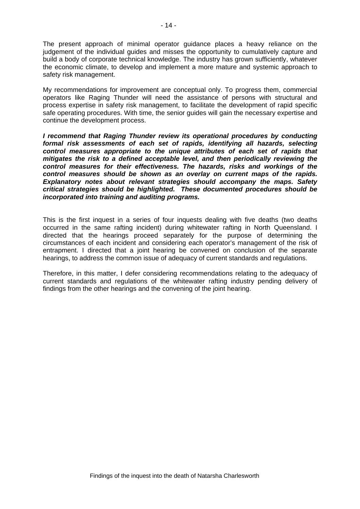The present approach of minimal operator guidance places a heavy reliance on the judgement of the individual guides and misses the opportunity to cumulatively capture and build a body of corporate technical knowledge. The industry has grown sufficiently, whatever the economic climate, to develop and implement a more mature and systemic approach to safety risk management.

My recommendations for improvement are conceptual only. To progress them, commercial operators like Raging Thunder will need the assistance of persons with structural and process expertise in safety risk management, to facilitate the development of rapid specific safe operating procedures. With time, the senior guides will gain the necessary expertise and continue the development process.

*I recommend that Raging Thunder review its operational procedures by conducting formal risk assessments of each set of rapids, identifying all hazards, selecting control measures appropriate to the unique attributes of each set of rapids that mitigates the risk to a defined acceptable level, and then periodically reviewing the control measures for their effectiveness. The hazards, risks and workings of the control measures should be shown as an overlay on current maps of the rapids. Explanatory notes about relevant strategies should accompany the maps. Safety critical strategies should be highlighted. These documented procedures should be incorporated into training and auditing programs.* 

This is the first inquest in a series of four inquests dealing with five deaths (two deaths occurred in the same rafting incident) during whitewater rafting in North Queensland. I directed that the hearings proceed separately for the purpose of determining the circumstances of each incident and considering each operator's management of the risk of entrapment. I directed that a joint hearing be convened on conclusion of the separate hearings, to address the common issue of adequacy of current standards and regulations.

Therefore, in this matter, I defer considering recommendations relating to the adequacy of current standards and regulations of the whitewater rafting industry pending delivery of findings from the other hearings and the convening of the joint hearing.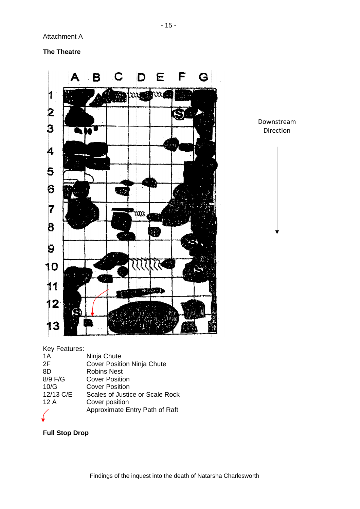Attachment A

**The Theatre** 



Downstream Direction

Key Features:

| 1A        | Ninja Chute                       |
|-----------|-----------------------------------|
| 2F        | <b>Cover Position Ninja Chute</b> |
| 8D        | <b>Robins Nest</b>                |
| 8/9 F/G   | <b>Cover Position</b>             |
| 10/G      | <b>Cover Position</b>             |
| 12/13 C/E | Scales of Justice or Scale Rock   |
| 12A       | Cover position                    |
|           | Approximate Entry Path of Raft    |
|           |                                   |

# **Full Stop Drop**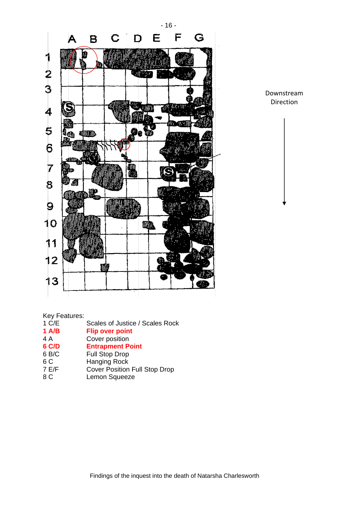

Downstream Direction

Key Features:<br>1 C/E

- Scales of Justice / Scales Rock
- **1 A/B** Flip over point **4 A** Cover position
- Cover position
- **6 C/D** Entrapment Point<br>
6 B/C Full Stop Drop
- Full Stop Drop
- 6 C Hanging Rock<br>7 E/F Cover Position
- Cover Position Full Stop Drop
- 8 C Lemon Squeeze